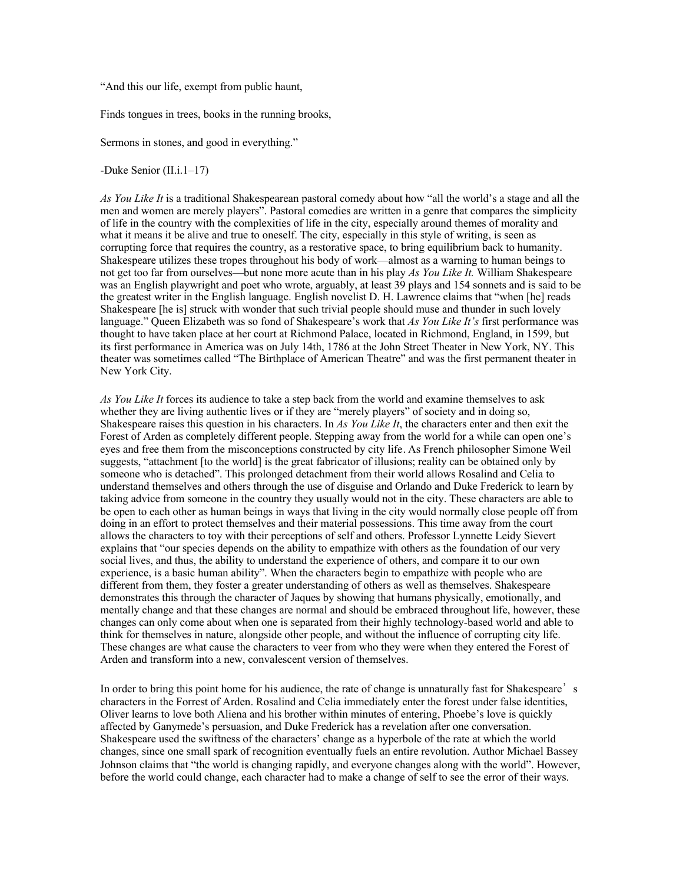"And this our life, exempt from public haunt,

Finds tongues in trees, books in the running brooks,

Sermons in stones, and good in everything."

-Duke Senior (II.i.1–17)

*As You Like It* is a traditional Shakespearean pastoral comedy about how "all the world's a stage and all the men and women are merely players". Pastoral comedies are written in a genre that compares the simplicity of life in the country with the complexities of life in the city, especially around themes of morality and what it means it be alive and true to oneself. The city, especially in this style of writing, is seen as corrupting force that requires the country, as a restorative space, to bring equilibrium back to humanity. Shakespeare utilizes these tropes throughout his body of work—almost as a warning to human beings to not get too far from ourselves—but none more acute than in his play *As You Like It.* William Shakespeare was an English playwright and poet who wrote, arguably, at least 39 plays and 154 sonnets and is said to be the greatest writer in the English language. English novelist D. H. Lawrence claims that "when [he] reads Shakespeare [he is] struck with wonder that such trivial people should muse and thunder in such lovely language." Queen Elizabeth was so fond of Shakespeare's work that *As You Like It's* first performance was thought to have taken place at her court at Richmond Palace, located in Richmond, England, in 1599, but its first performance in America was on July 14th, 1786 at the John Street Theater in New York, NY. This theater was sometimes called "The Birthplace of American Theatre" and was the first permanent theater in New York City.

*As You Like It* forces its audience to take a step back from the world and examine themselves to ask whether they are living authentic lives or if they are "merely players" of society and in doing so, Shakespeare raises this question in his characters. In *As You Like It*, the characters enter and then exit the Forest of Arden as completely different people. Stepping away from the world for a while can open one's eyes and free them from the misconceptions constructed by city life. As French philosopher Simone Weil suggests, "attachment [to the world] is the great fabricator of illusions; reality can be obtained only by someone who is detached". This prolonged detachment from their world allows Rosalind and Celia to understand themselves and others through the use of disguise and Orlando and Duke Frederick to learn by taking advice from someone in the country they usually would not in the city. These characters are able to be open to each other as human beings in ways that living in the city would normally close people off from doing in an effort to protect themselves and their material possessions. This time away from the court allows the characters to toy with their perceptions of self and others. Professor Lynnette Leidy Sievert explains that "our species depends on the ability to empathize with others as the foundation of our very social lives, and thus, the ability to understand the experience of others, and compare it to our own experience, is a basic human ability". When the characters begin to empathize with people who are different from them, they foster a greater understanding of others as well as themselves. Shakespeare demonstrates this through the character of Jaques by showing that humans physically, emotionally, and mentally change and that these changes are normal and should be embraced throughout life, however, these changes can only come about when one is separated from their highly technology-based world and able to think for themselves in nature, alongside other people, and without the influence of corrupting city life. These changes are what cause the characters to veer from who they were when they entered the Forest of Arden and transform into a new, convalescent version of themselves.

In order to bring this point home for his audience, the rate of change is unnaturally fast for Shakespeare's characters in the Forrest of Arden. Rosalind and Celia immediately enter the forest under false identities, Oliver learns to love both Aliena and his brother within minutes of entering, Phoebe's love is quickly affected by Ganymede's persuasion, and Duke Frederick has a revelation after one conversation. Shakespeare used the swiftness of the characters' change as a hyperbole of the rate at which the world changes, since one small spark of recognition eventually fuels an entire revolution. Author Michael Bassey Johnson claims that "the world is changing rapidly, and everyone changes along with the world". However, before the world could change, each character had to make a change of self to see the error of their ways.